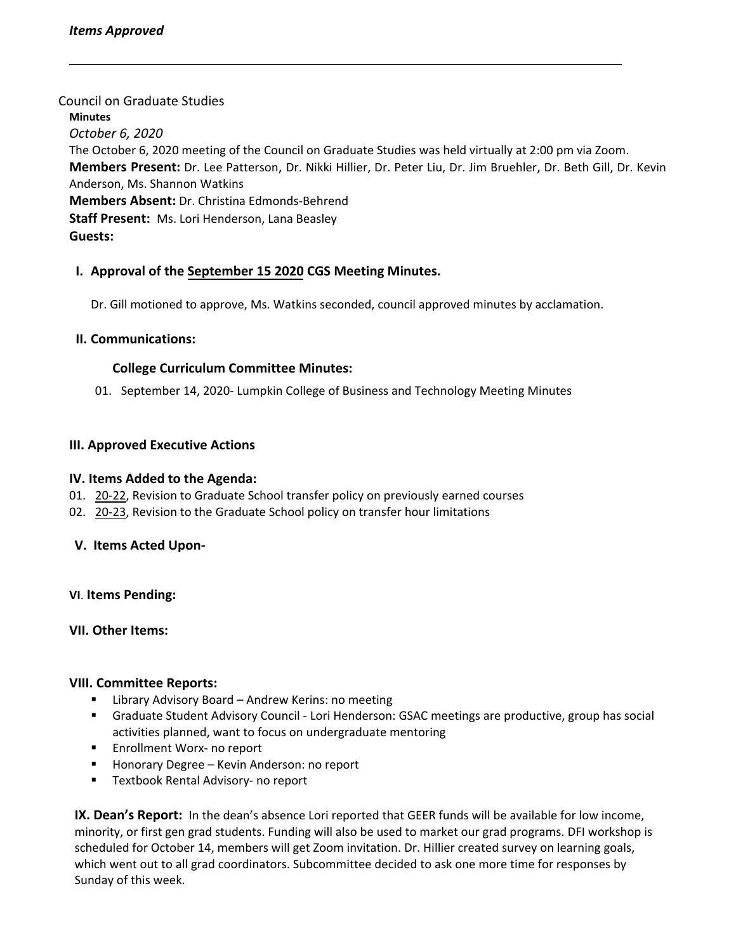Council on Graduate Studies **Minutes** *October 6, 2020* The October 6, 2020 meeting of the Council on Graduate Studies was held virtually at 2:00 pm via Zoom. **Members Present:** Dr. Lee Patterson, Dr. Nikki Hillier, Dr. Peter Liu, Dr. Jim Bruehler, Dr. Beth Gill, Dr. Kevin Anderson, Ms. Shannon Watkins **Members Absent:** Dr. Christina Edmonds‐Behrend **Staff Present:** Ms. Lori Henderson, Lana Beasley **Guests:**

# **I. Approval of the [September](https://castle.eiu.edu/~eiucgs/currentminutes/Minutes9-15-20.pdf) 15 2020 CGS Meeting Minutes.**

Dr. Gill motioned to approve, Ms. Watkins seconded, council approved minutes by acclamation.

### **II. Communications:**

#### **College Curriculum Committee Minutes:**

01. September 14, 2020‐ Lumpkin College of Business and Technology Meeting Minutes

### **III. Approved Executive Actions**

#### **IV. Items Added to the Agenda:**

- 01. [20](https://castle.eiu.edu/eiucgs/currentagendaitems/agenda20-22.pdf)-22, Revision to Graduate School transfer policy on previously earned courses
- 02. 20-[23,](https://castle.eiu.edu/eiucgs/currentagendaitems/agenda20-23.pdf) Revision to the Graduate School policy on transfer hour limitations

## **V. Items Acted Upon‐**

**VI**. **Items Pending:**

## **VII. Other Items:**

## **VIII. Committee Reports:**

- **E** Library Advisory Board Andrew Kerins: no meeting
- Graduate Student Advisory Council Lori Henderson: GSAC meetings are productive, group has social activities planned, want to focus on undergraduate mentoring
- Enrollment Worx- no report
- Honorary Degree Kevin Anderson: no report
- Textbook Rental Advisory- no report

**IX. Dean's Report:** In the dean's absence Lori reported that GEER funds will be available for low income, minority, or first gen grad students. Funding will also be used to market our grad programs. DFI workshop is scheduled for October 14, members will get Zoom invitation. Dr. Hillier created survey on learning goals, which went out to all grad coordinators. Subcommittee decided to ask one more time for responses by Sunday of this week.